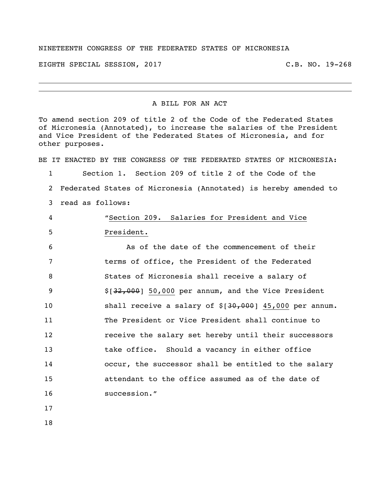## NINETEENTH CONGRESS OF THE FEDERATED STATES OF MICRONESIA

EIGHTH SPECIAL SESSION, 2017 C.B. NO. 19-268

## A BILL FOR AN ACT

To amend section 209 of title 2 of the Code of the Federated States of Micronesia (Annotated), to increase the salaries of the President and Vice President of the Federated States of Micronesia, and for other purposes.

BE IT ENACTED BY THE CONGRESS OF THE FEDERATED STATES OF MICRONESIA:

 Section 1. Section 209 of title 2 of the Code of the Federated States of Micronesia (Annotated) is hereby amended to read as follows:

 "Section 209. Salaries for President and Vice President.

 As of the date of the commencement of their terms of office, the President of the Federated States of Micronesia shall receive a salary of \$[32,000] 50,000 per annum, and the Vice President 10 shall receive a salary of \$[30,000] 45,000 per annum. The President or Vice President shall continue to **12** receive the salary set hereby until their successors take office. Should a vacancy in either office occur, the successor shall be entitled to the salary attendant to the office assumed as of the date of succession."